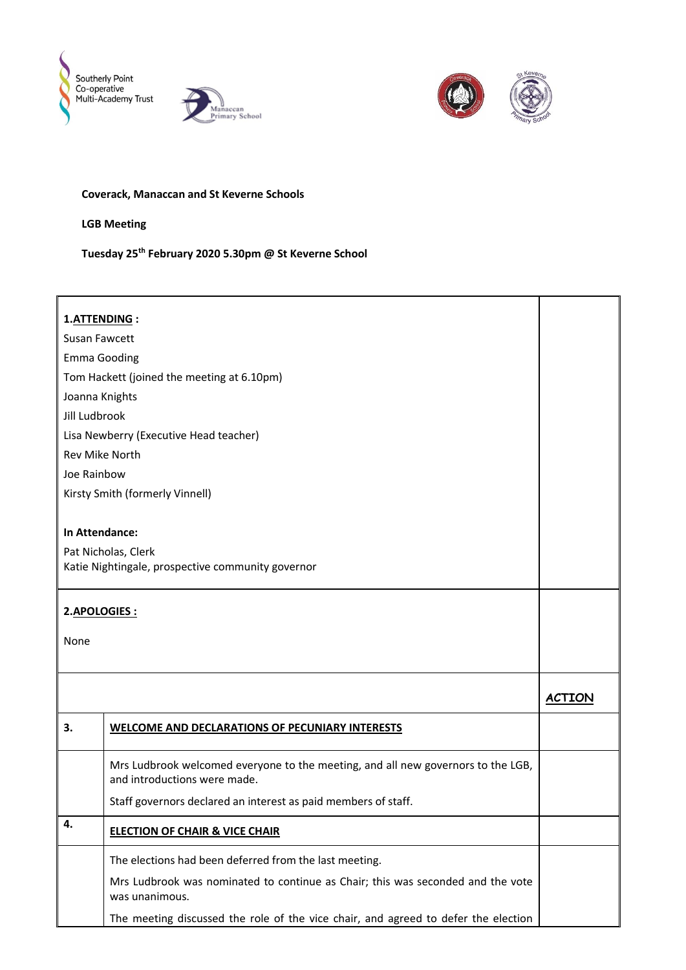





## **Coverack, Manaccan and St Keverne Schools**

**LGB Meeting**

**Tuesday 25th February 2020 5.30pm @ St Keverne School**

| 1.ATTENDING:                               |                                                                                                                  |               |
|--------------------------------------------|------------------------------------------------------------------------------------------------------------------|---------------|
| Susan Fawcett                              |                                                                                                                  |               |
| <b>Emma Gooding</b>                        |                                                                                                                  |               |
| Tom Hackett (joined the meeting at 6.10pm) |                                                                                                                  |               |
| Joanna Knights                             |                                                                                                                  |               |
| Jill Ludbrook                              |                                                                                                                  |               |
| Lisa Newberry (Executive Head teacher)     |                                                                                                                  |               |
| Rev Mike North                             |                                                                                                                  |               |
| Joe Rainbow                                |                                                                                                                  |               |
|                                            | Kirsty Smith (formerly Vinnell)                                                                                  |               |
|                                            |                                                                                                                  |               |
| In Attendance:                             |                                                                                                                  |               |
|                                            | Pat Nicholas, Clerk                                                                                              |               |
|                                            | Katie Nightingale, prospective community governor                                                                |               |
|                                            |                                                                                                                  |               |
| 2.APOLOGIES:                               |                                                                                                                  |               |
|                                            |                                                                                                                  |               |
| None                                       |                                                                                                                  |               |
|                                            |                                                                                                                  |               |
|                                            |                                                                                                                  |               |
|                                            |                                                                                                                  | <b>ACTION</b> |
| 3.                                         | WELCOME AND DECLARATIONS OF PECUNIARY INTERESTS                                                                  |               |
|                                            | Mrs Ludbrook welcomed everyone to the meeting, and all new governors to the LGB,<br>and introductions were made. |               |
|                                            | Staff governors declared an interest as paid members of staff.                                                   |               |
| 4.                                         |                                                                                                                  |               |
|                                            | <b>ELECTION OF CHAIR &amp; VICE CHAIR</b>                                                                        |               |
|                                            | The elections had been deferred from the last meeting.                                                           |               |
|                                            | Mrs Ludbrook was nominated to continue as Chair; this was seconded and the vote                                  |               |
|                                            | was unanimous.                                                                                                   |               |
|                                            | The meeting discussed the role of the vice chair, and agreed to defer the election                               |               |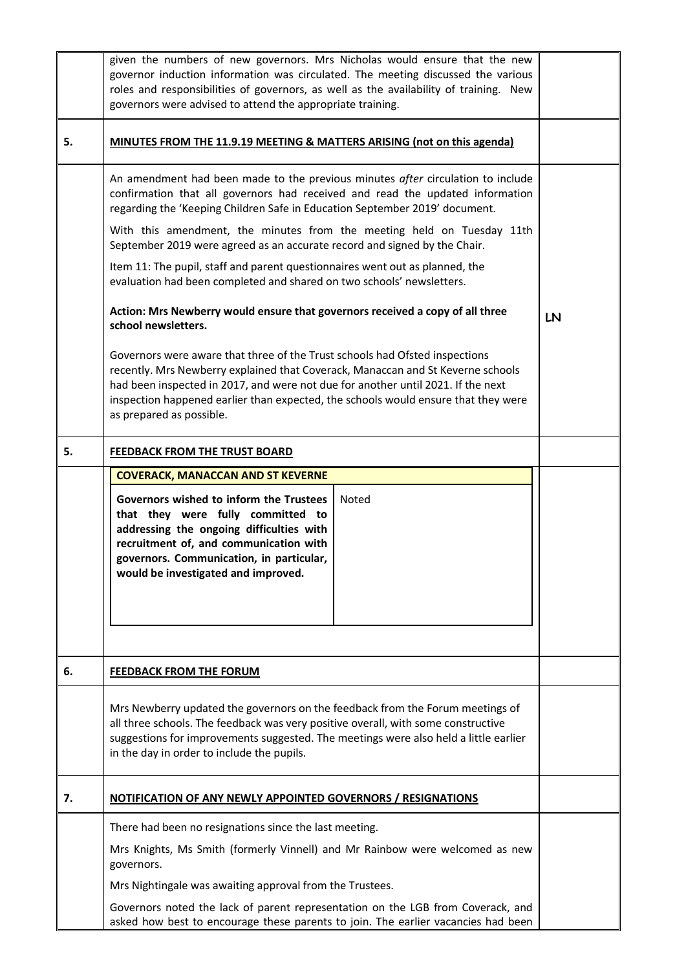|    | given the numbers of new governors. Mrs Nicholas would ensure that the new<br>governor induction information was circulated. The meeting discussed the various<br>roles and responsibilities of governors, as well as the availability of training. New<br>governors were advised to attend the appropriate training.                                                |  |  |  |
|----|----------------------------------------------------------------------------------------------------------------------------------------------------------------------------------------------------------------------------------------------------------------------------------------------------------------------------------------------------------------------|--|--|--|
| 5. | MINUTES FROM THE 11.9.19 MEETING & MATTERS ARISING (not on this agenda)                                                                                                                                                                                                                                                                                              |  |  |  |
|    | An amendment had been made to the previous minutes after circulation to include<br>confirmation that all governors had received and read the updated information<br>regarding the 'Keeping Children Safe in Education September 2019' document.                                                                                                                      |  |  |  |
|    | With this amendment, the minutes from the meeting held on Tuesday 11th<br>September 2019 were agreed as an accurate record and signed by the Chair.                                                                                                                                                                                                                  |  |  |  |
|    | Item 11: The pupil, staff and parent questionnaires went out as planned, the<br>evaluation had been completed and shared on two schools' newsletters.                                                                                                                                                                                                                |  |  |  |
|    | Action: Mrs Newberry would ensure that governors received a copy of all three<br>school newsletters.                                                                                                                                                                                                                                                                 |  |  |  |
|    | Governors were aware that three of the Trust schools had Ofsted inspections<br>recently. Mrs Newberry explained that Coverack, Manaccan and St Keverne schools<br>had been inspected in 2017, and were not due for another until 2021. If the next<br>inspection happened earlier than expected, the schools would ensure that they were<br>as prepared as possible. |  |  |  |
| 5. | FEEDBACK FROM THE TRUST BOARD                                                                                                                                                                                                                                                                                                                                        |  |  |  |
|    | <b>COVERACK, MANACCAN AND ST KEVERNE</b>                                                                                                                                                                                                                                                                                                                             |  |  |  |
|    | Governors wished to inform the Trustees<br>Noted<br>that they were fully committed to<br>addressing the ongoing difficulties with<br>recruitment of, and communication with<br>governors. Communication, in particular,<br>would be investigated and improved.                                                                                                       |  |  |  |
|    |                                                                                                                                                                                                                                                                                                                                                                      |  |  |  |
| 6. | <b>FEEDBACK FROM THE FORUM</b>                                                                                                                                                                                                                                                                                                                                       |  |  |  |
|    | Mrs Newberry updated the governors on the feedback from the Forum meetings of<br>all three schools. The feedback was very positive overall, with some constructive<br>suggestions for improvements suggested. The meetings were also held a little earlier<br>in the day in order to include the pupils.                                                             |  |  |  |
| 7. | <b>NOTIFICATION OF ANY NEWLY APPOINTED GOVERNORS / RESIGNATIONS</b>                                                                                                                                                                                                                                                                                                  |  |  |  |
|    | There had been no resignations since the last meeting.                                                                                                                                                                                                                                                                                                               |  |  |  |
|    | Mrs Knights, Ms Smith (formerly Vinnell) and Mr Rainbow were welcomed as new<br>governors.                                                                                                                                                                                                                                                                           |  |  |  |
|    | Mrs Nightingale was awaiting approval from the Trustees.                                                                                                                                                                                                                                                                                                             |  |  |  |
|    | Governors noted the lack of parent representation on the LGB from Coverack, and<br>asked how best to encourage these parents to join. The earlier vacancies had been                                                                                                                                                                                                 |  |  |  |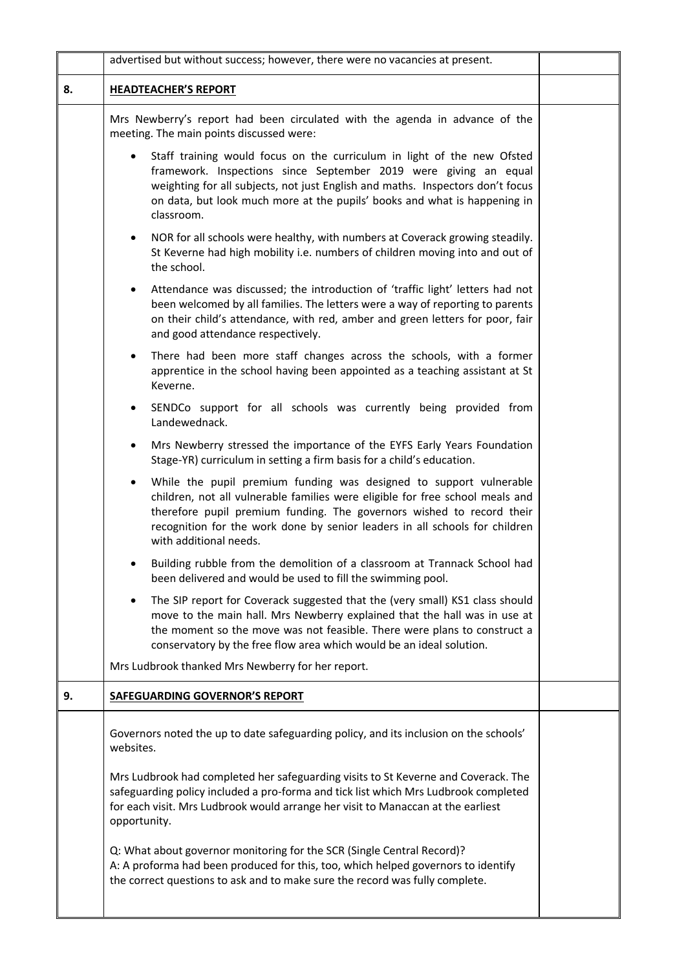|    | advertised but without success; however, there were no vacancies at present.                                                                                                                                                                                                                                                                       |  |
|----|----------------------------------------------------------------------------------------------------------------------------------------------------------------------------------------------------------------------------------------------------------------------------------------------------------------------------------------------------|--|
| 8. | <b>HEADTEACHER'S REPORT</b>                                                                                                                                                                                                                                                                                                                        |  |
|    | Mrs Newberry's report had been circulated with the agenda in advance of the<br>meeting. The main points discussed were:                                                                                                                                                                                                                            |  |
|    | Staff training would focus on the curriculum in light of the new Ofsted<br>framework. Inspections since September 2019 were giving an equal<br>weighting for all subjects, not just English and maths. Inspectors don't focus<br>on data, but look much more at the pupils' books and what is happening in<br>classroom.                           |  |
|    | NOR for all schools were healthy, with numbers at Coverack growing steadily.<br>St Keverne had high mobility i.e. numbers of children moving into and out of<br>the school.                                                                                                                                                                        |  |
|    | Attendance was discussed; the introduction of 'traffic light' letters had not<br>$\bullet$<br>been welcomed by all families. The letters were a way of reporting to parents<br>on their child's attendance, with red, amber and green letters for poor, fair<br>and good attendance respectively.                                                  |  |
|    | There had been more staff changes across the schools, with a former<br>$\bullet$<br>apprentice in the school having been appointed as a teaching assistant at St<br>Keverne.                                                                                                                                                                       |  |
|    | SENDCo support for all schools was currently being provided from<br>$\bullet$<br>Landewednack.                                                                                                                                                                                                                                                     |  |
|    | Mrs Newberry stressed the importance of the EYFS Early Years Foundation<br>$\bullet$<br>Stage-YR) curriculum in setting a firm basis for a child's education.                                                                                                                                                                                      |  |
|    | While the pupil premium funding was designed to support vulnerable<br>$\bullet$<br>children, not all vulnerable families were eligible for free school meals and<br>therefore pupil premium funding. The governors wished to record their<br>recognition for the work done by senior leaders in all schools for children<br>with additional needs. |  |
|    | Building rubble from the demolition of a classroom at Trannack School had<br>been delivered and would be used to fill the swimming pool.                                                                                                                                                                                                           |  |
|    | The SIP report for Coverack suggested that the (very small) KS1 class should<br>$\bullet$<br>move to the main hall. Mrs Newberry explained that the hall was in use at<br>the moment so the move was not feasible. There were plans to construct a<br>conservatory by the free flow area which would be an ideal solution.                         |  |
|    | Mrs Ludbrook thanked Mrs Newberry for her report.                                                                                                                                                                                                                                                                                                  |  |
| 9. | SAFEGUARDING GOVERNOR'S REPORT                                                                                                                                                                                                                                                                                                                     |  |
|    | Governors noted the up to date safeguarding policy, and its inclusion on the schools'<br>websites.                                                                                                                                                                                                                                                 |  |
|    | Mrs Ludbrook had completed her safeguarding visits to St Keverne and Coverack. The<br>safeguarding policy included a pro-forma and tick list which Mrs Ludbrook completed<br>for each visit. Mrs Ludbrook would arrange her visit to Manaccan at the earliest<br>opportunity.                                                                      |  |
|    | Q: What about governor monitoring for the SCR (Single Central Record)?<br>A: A proforma had been produced for this, too, which helped governors to identify<br>the correct questions to ask and to make sure the record was fully complete.                                                                                                        |  |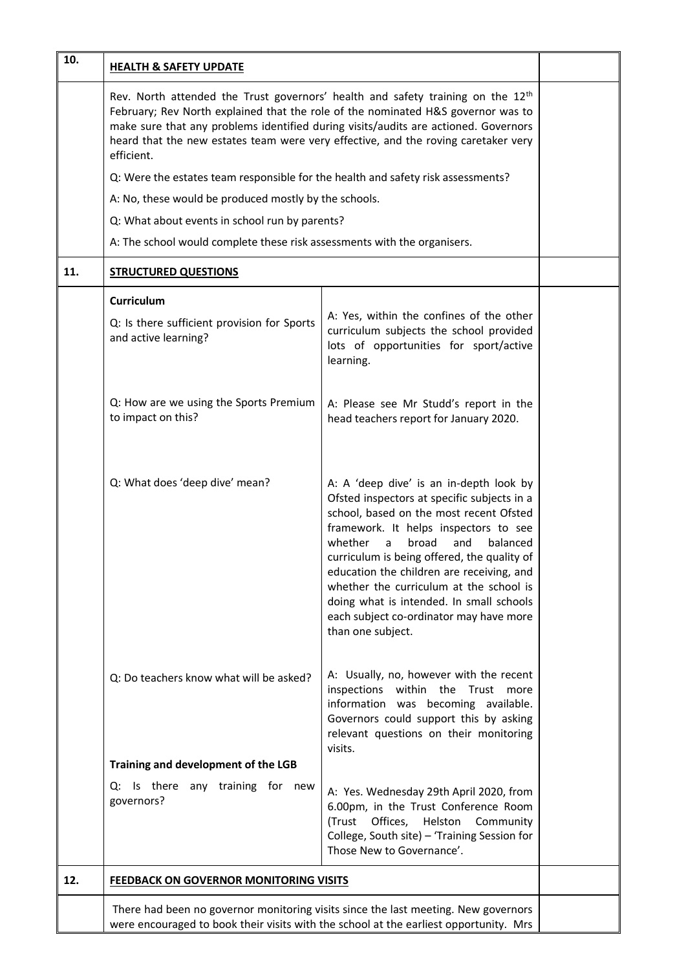| 10. | <b>HEALTH &amp; SAFETY UPDATE</b>                                                                                                                                                                                                                                                                                                                                          |                                                                                                                                                                                                                                                                                                                                                                                                                                                                           |  |
|-----|----------------------------------------------------------------------------------------------------------------------------------------------------------------------------------------------------------------------------------------------------------------------------------------------------------------------------------------------------------------------------|---------------------------------------------------------------------------------------------------------------------------------------------------------------------------------------------------------------------------------------------------------------------------------------------------------------------------------------------------------------------------------------------------------------------------------------------------------------------------|--|
|     | Rev. North attended the Trust governors' health and safety training on the 12 <sup>th</sup><br>February; Rev North explained that the role of the nominated H&S governor was to<br>make sure that any problems identified during visits/audits are actioned. Governors<br>heard that the new estates team were very effective, and the roving caretaker very<br>efficient. |                                                                                                                                                                                                                                                                                                                                                                                                                                                                           |  |
|     | Q: Were the estates team responsible for the health and safety risk assessments?                                                                                                                                                                                                                                                                                           |                                                                                                                                                                                                                                                                                                                                                                                                                                                                           |  |
|     | A: No, these would be produced mostly by the schools.                                                                                                                                                                                                                                                                                                                      |                                                                                                                                                                                                                                                                                                                                                                                                                                                                           |  |
|     | Q: What about events in school run by parents?                                                                                                                                                                                                                                                                                                                             |                                                                                                                                                                                                                                                                                                                                                                                                                                                                           |  |
|     | A: The school would complete these risk assessments with the organisers.                                                                                                                                                                                                                                                                                                   |                                                                                                                                                                                                                                                                                                                                                                                                                                                                           |  |
| 11. | <b>STRUCTURED QUESTIONS</b>                                                                                                                                                                                                                                                                                                                                                |                                                                                                                                                                                                                                                                                                                                                                                                                                                                           |  |
|     | Curriculum<br>Q: Is there sufficient provision for Sports<br>and active learning?                                                                                                                                                                                                                                                                                          | A: Yes, within the confines of the other<br>curriculum subjects the school provided<br>lots of opportunities for sport/active<br>learning.                                                                                                                                                                                                                                                                                                                                |  |
|     | Q: How are we using the Sports Premium<br>to impact on this?                                                                                                                                                                                                                                                                                                               | A: Please see Mr Studd's report in the<br>head teachers report for January 2020.                                                                                                                                                                                                                                                                                                                                                                                          |  |
|     | Q: What does 'deep dive' mean?                                                                                                                                                                                                                                                                                                                                             | A: A 'deep dive' is an in-depth look by<br>Ofsted inspectors at specific subjects in a<br>school, based on the most recent Ofsted<br>framework. It helps inspectors to see<br>whether<br>broad<br>and<br>balanced<br>a<br>curriculum is being offered, the quality of<br>education the children are receiving, and<br>whether the curriculum at the school is<br>doing what is intended. In small schools<br>each subject co-ordinator may have more<br>than one subject. |  |
|     | Q: Do teachers know what will be asked?                                                                                                                                                                                                                                                                                                                                    | A: Usually, no, however with the recent<br>inspections within the Trust more<br>information was becoming available.<br>Governors could support this by asking<br>relevant questions on their monitoring<br>visits.                                                                                                                                                                                                                                                        |  |
|     | Training and development of the LGB                                                                                                                                                                                                                                                                                                                                        |                                                                                                                                                                                                                                                                                                                                                                                                                                                                           |  |
|     | Q: Is there any training for new<br>governors?                                                                                                                                                                                                                                                                                                                             | A: Yes. Wednesday 29th April 2020, from<br>6.00pm, in the Trust Conference Room<br>Offices,<br>Helston<br>Community<br>(Trust<br>College, South site) - 'Training Session for<br>Those New to Governance'.                                                                                                                                                                                                                                                                |  |
| 12. | FEEDBACK ON GOVERNOR MONITORING VISITS                                                                                                                                                                                                                                                                                                                                     |                                                                                                                                                                                                                                                                                                                                                                                                                                                                           |  |
|     |                                                                                                                                                                                                                                                                                                                                                                            | There had been no governor monitoring visits since the last meeting. New governors<br>were encouraged to book their visits with the school at the earliest opportunity. Mrs                                                                                                                                                                                                                                                                                               |  |